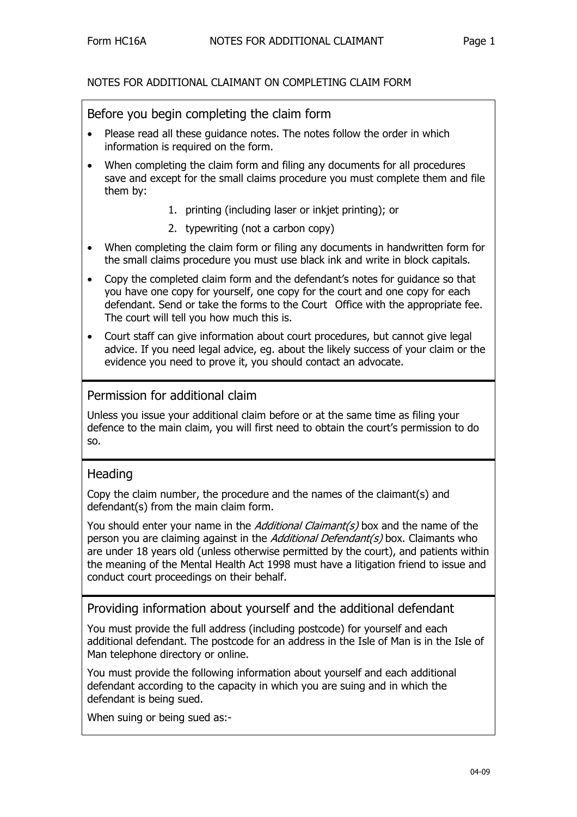#### NOTES FOR ADDITIONAL CLAIMANT ON COMPLETING CLAIM FORM

#### Before you begin completing the claim form

- Please read all these guidance notes. The notes follow the order in which information is required on the form.
- When completing the claim form and filing any documents for all procedures save and except for the small claims procedure you must complete them and file them by:
	- 1. printing (including laser or inkjet printing); or
	- 2. typewriting (not a carbon copy)
- When completing the claim form or filing any documents in handwritten form for the small claims procedure you must use black ink and write in block capitals.
- Copy the completed claim form and the defendant's notes for guidance so that you have one copy for yourself, one copy for the court and one copy for each defendant. Send or take the forms to the Court Office with the appropriate fee. The court will tell you how much this is.
- Court staff can give information about court procedures, but cannot give legal advice. If you need legal advice, eg. about the likely success of your claim or the evidence you need to prove it, you should contact an advocate.

### Permission for additional claim

Unless you issue your additional claim before or at the same time as filing your defence to the main claim, you will first need to obtain the court's permission to do so.

# **Heading**

Copy the claim number, the procedure and the names of the claimant(s) and defendant(s) from the main claim form.

You should enter your name in the *Additional Claimant(s)* box and the name of the person you are claiming against in the *Additional Defendant(s)* box. Claimants who are under 18 years old (unless otherwise permitted by the court), and patients within the meaning of the Mental Health Act 1998 must have a litigation friend to issue and conduct court proceedings on their behalf.

Providing information about yourself and the additional defendant

You must provide the full address (including postcode) for yourself and each additional defendant. The postcode for an address in the Isle of Man is in the Isle of Man telephone directory or online.

You must provide the following information about yourself and each additional defendant according to the capacity in which you are suing and in which the defendant is being sued.

When suing or being sued as:-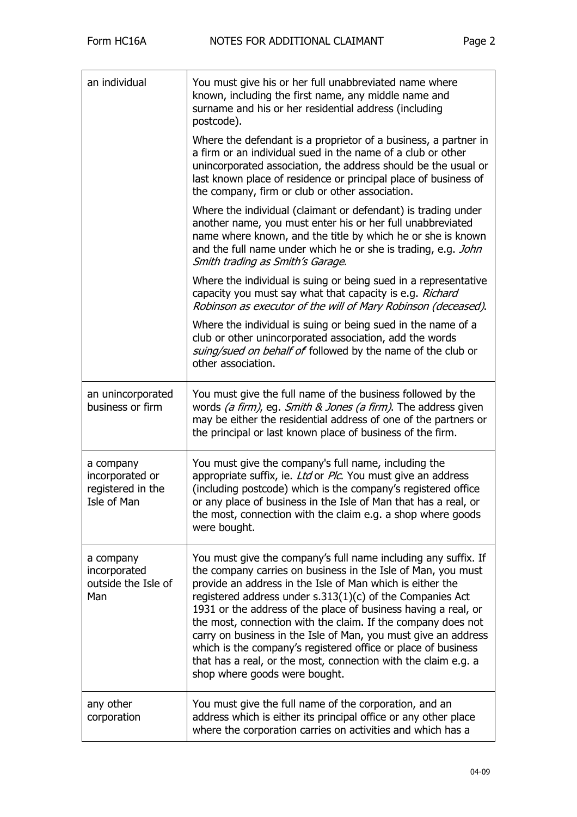| an individual                                                    | You must give his or her full unabbreviated name where<br>known, including the first name, any middle name and<br>surname and his or her residential address (including<br>postcode).                                                                                                                                                                                                                                                                                                                                                                                                                                              |
|------------------------------------------------------------------|------------------------------------------------------------------------------------------------------------------------------------------------------------------------------------------------------------------------------------------------------------------------------------------------------------------------------------------------------------------------------------------------------------------------------------------------------------------------------------------------------------------------------------------------------------------------------------------------------------------------------------|
|                                                                  | Where the defendant is a proprietor of a business, a partner in<br>a firm or an individual sued in the name of a club or other<br>unincorporated association, the address should be the usual or<br>last known place of residence or principal place of business of<br>the company, firm or club or other association.                                                                                                                                                                                                                                                                                                             |
|                                                                  | Where the individual (claimant or defendant) is trading under<br>another name, you must enter his or her full unabbreviated<br>name where known, and the title by which he or she is known<br>and the full name under which he or she is trading, e.g. John<br>Smith trading as Smith's Garage.                                                                                                                                                                                                                                                                                                                                    |
|                                                                  | Where the individual is suing or being sued in a representative<br>capacity you must say what that capacity is e.g. Richard<br>Robinson as executor of the will of Mary Robinson (deceased).                                                                                                                                                                                                                                                                                                                                                                                                                                       |
|                                                                  | Where the individual is suing or being sued in the name of a<br>club or other unincorporated association, add the words<br>suing/sued on behalf of followed by the name of the club or<br>other association.                                                                                                                                                                                                                                                                                                                                                                                                                       |
| an unincorporated<br>business or firm                            | You must give the full name of the business followed by the<br>words (a firm), eg. Smith & Jones (a firm). The address given<br>may be either the residential address of one of the partners or<br>the principal or last known place of business of the firm.                                                                                                                                                                                                                                                                                                                                                                      |
| a company<br>incorporated or<br>registered in the<br>Isle of Man | You must give the company's full name, including the<br>appropriate suffix, ie. Ltd or Plc. You must give an address<br>(including postcode) which is the company's registered office<br>or any place of business in the Isle of Man that has a real, or<br>the most, connection with the claim e.g. a shop where goods<br>were bought.                                                                                                                                                                                                                                                                                            |
| a company<br>incorporated<br>outside the Isle of<br>Man          | You must give the company's full name including any suffix. If<br>the company carries on business in the Isle of Man, you must<br>provide an address in the Isle of Man which is either the<br>registered address under $s.313(1)(c)$ of the Companies Act<br>1931 or the address of the place of business having a real, or<br>the most, connection with the claim. If the company does not<br>carry on business in the Isle of Man, you must give an address<br>which is the company's registered office or place of business<br>that has a real, or the most, connection with the claim e.g. a<br>shop where goods were bought. |
| any other<br>corporation                                         | You must give the full name of the corporation, and an<br>address which is either its principal office or any other place<br>where the corporation carries on activities and which has a                                                                                                                                                                                                                                                                                                                                                                                                                                           |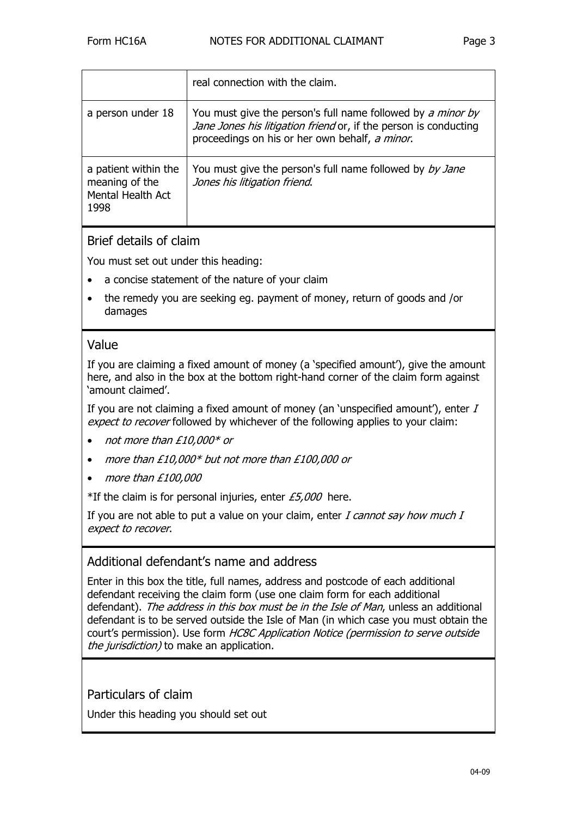|                                                                     | real connection with the claim.                                                                                                                                                   |
|---------------------------------------------------------------------|-----------------------------------------------------------------------------------------------------------------------------------------------------------------------------------|
| a person under 18                                                   | You must give the person's full name followed by a minor by<br>Jane Jones his litigation friend or, if the person is conducting<br>proceedings on his or her own behalf, a minor. |
| a patient within the<br>meaning of the<br>Mental Health Act<br>1998 | You must give the person's full name followed by by Jane<br>Jones his litigation friend.                                                                                          |

## Brief details of claim

You must set out under this heading:

- a concise statement of the nature of your claim
- the remedy you are seeking eg. payment of money, return of goods and /or damages

## Value

If you are claiming a fixed amount of money (a 'specified amount'), give the amount here, and also in the box at the bottom right-hand corner of the claim form against 'amount claimed'.

If you are not claiming a fixed amount of money (an 'unspecified amount'), enter  $I$ expect to recover followed by whichever of the following applies to your claim:

- not more than £10,000\* or
- more than £10,000\* but not more than £100,000 or
- more than £100,000

\*If the claim is for personal injuries, enter  $\text{\textsterling}5,000$  here.

If you are not able to put a value on your claim, enter  $I$  cannot say how much  $I$ expect to recover.

### Additional defendant's name and address

Enter in this box the title, full names, address and postcode of each additional defendant receiving the claim form (use one claim form for each additional defendant). The address in this box must be in the Isle of Man, unless an additional defendant is to be served outside the Isle of Man (in which case you must obtain the court's permission). Use form HC8C Application Notice (permission to serve outside the jurisdiction) to make an application.

Particulars of claim

Under this heading you should set out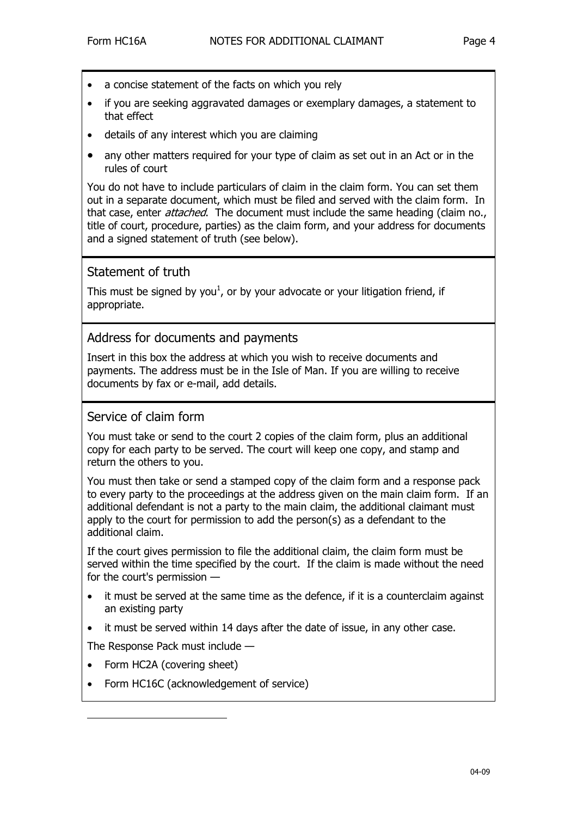- a concise statement of the facts on which you rely
- if you are seeking aggravated damages or exemplary damages, a statement to that effect
- details of any interest which you are claiming
- any other matters required for your type of claim as set out in an Act or in the rules of court

You do not have to include particulars of claim in the claim form. You can set them out in a separate document, which must be filed and served with the claim form. In that case, enter *attached*. The document must include the same heading (claim no., title of court, procedure, parties) as the claim form, and your address for documents and a signed statement of truth (see below).

## Statement of truth

This must be signed by you<sup>[1](#page-3-0)</sup>, or by your advocate or your litigation friend, if appropriate.

### Address for documents and payments

Insert in this box the address at which you wish to receive documents and payments. The address must be in the Isle of Man. If you are willing to receive documents by fax or e-mail, add details.

### Service of claim form

You must take or send to the court 2 copies of the claim form, plus an additional copy for each party to be served. The court will keep one copy, and stamp and return the others to you.

You must then take or send a stamped copy of the claim form and a response pack to every party to the proceedings at the address given on the main claim form. If an additional defendant is not a party to the main claim, the additional claimant must apply to the court for permission to add the person(s) as a defendant to the additional claim.

If the court gives permission to file the additional claim, the claim form must be served within the time specified by the court. If the claim is made without the need for the court's permission —

- it must be served at the same time as the defence, if it is a counterclaim against an existing party
- it must be served within 14 days after the date of issue, in any other case.

The Response Pack must include —

• Form HC2A (covering sheet)

<span id="page-3-0"></span>j

• Form HC16C (acknowledgement of service)